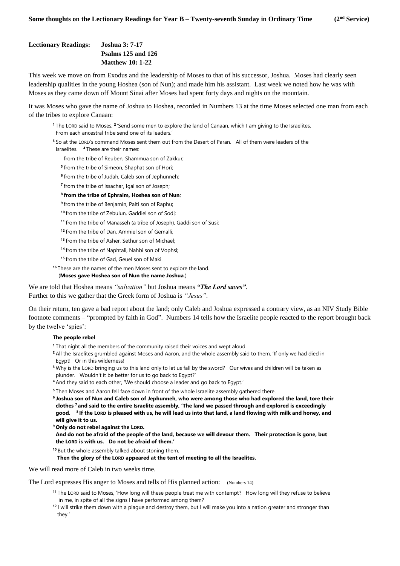## **Lectionary Readings: Joshua 3: 7-17 Psalms 125 and 126 Matthew 10: 1-22**

This week we move on from Exodus and the leadership of Moses to that of his successor, Joshua. Moses had clearly seen leadership qualities in the young Hoshea (son of Nun); and made him his assistant. Last week we noted how he was with Moses as they came down off Mount Sinai after Moses had spent forty days and nights on the mountain.

It was Moses who gave the name of Joshua to Hoshea, recorded in Numbers 13 at the time Moses selected one man from each of the tribes to explore Canaan:

<sup>1</sup> The LORD said to Moses, <sup>2</sup> 'Send some men to explore the land of Canaan, which I am giving to the Israelites. From each ancestral tribe send one of its leaders.'

**<sup>3</sup>** So at the LORD's command Moses sent them out from the Desert of Paran. All of them were leaders of the Israelites. **<sup>4</sup>** These are their names:

from the tribe of Reuben, Shammua son of Zakkur;

**5** from the tribe of Simeon, Shaphat son of Hori;

**6** from the tribe of Judah, Caleb son of Jephunneh;

**7** from the tribe of Issachar, Igal son of Joseph;

#### **8 from the tribe of Ephraim, Hoshea son of Nun**;

**9** from the tribe of Benjamin, Palti son of Raphu;

**<sup>10</sup>** from the tribe of Zebulun, Gaddiel son of Sodi;

**<sup>11</sup>** from the tribe of Manasseh (a tribe of Joseph), Gaddi son of Susi;

**<sup>12</sup>** from the tribe of Dan, Ammiel son of Gemalli;

**<sup>13</sup>** from the tribe of Asher, Sethur son of Michael;

**<sup>14</sup>** from the tribe of Naphtali, Nahbi son of Vophsi;

**<sup>15</sup>** from the tribe of Gad, Geuel son of Maki.

**<sup>16</sup>** These are the names of the men Moses sent to explore the land.

## (**Moses gave Hoshea son of Nun the name Joshua**.)

We are told that Hoshea means *"salvation"* but Joshua means *"The Lord saves"*. Further to this we gather that the Greek form of Joshua is *"Jesus"*.

On their return, ten gave a bad report about the land; only Caleb and Joshua expressed a contrary view, as an NIV Study Bible footnote comments – "prompted by faith in God". Numbers 14 tells how the Israelite people reacted to the report brought back by the twelve 'spies':

#### **The people rebel**

- **<sup>1</sup>** That night all the members of the community raised their voices and wept aloud.
- **<sup>2</sup>** All the Israelites grumbled against Moses and Aaron, and the whole assembly said to them, 'If only we had died in Egypt! Or in this wilderness!
- **<sup>3</sup>** Why is the LORD bringing us to this land only to let us fall by the sword? Our wives and children will be taken as plunder. Wouldn't it be better for us to go back to Egypt?'
- **<sup>4</sup>** And they said to each other, 'We should choose a leader and go back to Egypt.'
- **<sup>5</sup>** Then Moses and Aaron fell face down in front of the whole Israelite assembly gathered there.

**6 Joshua son of Nun and Caleb son of Jephunneh, who were among those who had explored the land, tore their clothes <sup>7</sup> and said to the entire Israelite assembly, 'The land we passed through and explored is exceedingly good. 8 If the LORD is pleased with us, he will lead us into that land, a land flowing with milk and honey, and will give it to us.** 

**<sup>9</sup> Only do not rebel against the LORD.** 

 **And do not be afraid of the people of the land, because we will devour them. Their protection is gone, but the LORD is with us. Do not be afraid of them.'**

**<sup>10</sup>** But the whole assembly talked about stoning them.

**Then the glory of the LORD appeared at the tent of meeting to all the Israelites.**

We will read more of Caleb in two weeks time.

The Lord expresses His anger to Moses and tells of His planned action: (Numbers 14)

- **<sup>11</sup>** The LORD said to Moses, 'How long will these people treat me with contempt? How long will they refuse to believe in me, in spite of all the signs I have performed among them?
- **<sup>12</sup>** I will strike them down with a plague and destroy them, but I will make you into a nation greater and stronger than they.'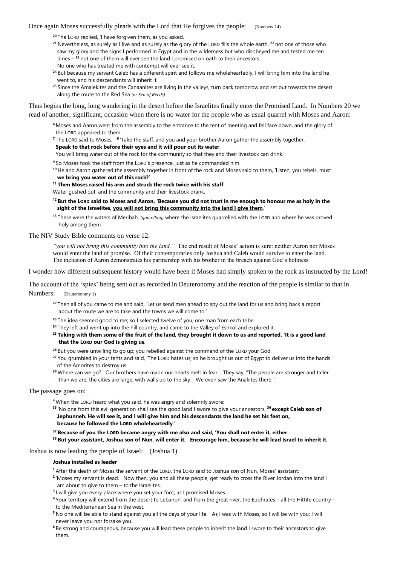#### Once again Moses successfully pleads with the Lord that He forgives the people: (Numbers 14)

- **<sup>20</sup>** The LORD replied, 'I have forgiven them, as you asked.
- **<sup>21</sup>** Nevertheless, as surely as I live and as surely as the glory of the LORD fills the whole earth, **<sup>22</sup>** not one of those who saw my glory and the signs I performed in Egypt and in the wilderness but who disobeyed me and tested me ten times – **<sup>23</sup>** not one of them will ever see the land I promised on oath to their ancestors. No one who has treated me with contempt will ever see it.
- <sup>24</sup> But because my servant Caleb has a different spirit and follows me wholeheartedly, I will bring him into the land he went to, and his descendants will inherit it.
- **<sup>25</sup>** Since the Amalekites and the Canaanites are living in the valleys, turn back tomorrow and set out towards the desert along the route to the Red Sea *(or Sea of Reeds)*.

Thus begins the long, long wandering in the desert before the Israelites finally enter the Promised Land. In Numbers 20 we read of another, significant, occasion when there is no water for the people who as usual quarrel with Moses and Aaron:

- **<sup>6</sup>** Moses and Aaron went from the assembly to the entrance to the tent of meeting and fell face down, and the glory of the LORD appeared to them.
- <sup>7</sup> The LORD said to Moses, <sup>8</sup> 'Take the staff, and you and your brother Aaron gather the assembly together.
- **Speak to that rock before their eyes and it will pour out its water**.
- You will bring water out of the rock for the community so that they and their livestock can drink.'
- **<sup>9</sup>** So Moses took the staff from the LORD's presence, just as he commanded him.
- **<sup>10</sup>** He and Aaron gathered the assembly together in front of the rock and Moses said to them, 'Listen, you rebels, must  **we bring you water out of this rock?'**
- **<sup>11</sup> Then Moses raised his arm and struck the rock twice with his staff**.
- Water gushed out, and the community and their livestock drank.
- **<sup>12</sup> But the LORD said to Moses and Aaron, 'Because you did not trust in me enough to honour me as holy in the sight of the Israelites, you will not bring this community into the land I give them**.'
- **<sup>13</sup>** These were the waters of Meribah, *(quarelling)* where the Israelites quarrelled with the LORD and where he was proved holy among them.
- The NIV Study Bible comments on verse 12:

*"you will not bring this community into the land."* The end result of Moses' action is sure: neither Aaron nor Moses would enter the land of promise. Of their contemporaries only Joshua and Caleb would survive to enter the land. The inclusion of Aaron demonstrates his partnership with his brother in the breach against God's holiness.

I wonder how different subsequent history would have been if Moses had simply spoken to the rock as instructed by the Lord!

The account of the 'spies' being sent out as recorded in Deuteronomy and the reaction of the people is similar to that in Numbers: (Deuteronomy 1)

- **<sup>22</sup>** Then all of you came to me and said, 'Let us send men ahead to spy out the land for us and bring back a report about the route we are to take and the towns we will come to.'
- **<sup>23</sup>** The idea seemed good to me; so I selected twelve of you, one man from each tribe.
- <sup>24</sup> They left and went up into the hill country, and came to the Valley of Eshkol and explored it.
- **<sup>25</sup> Taking with them some of the fruit of the land, they brought it down to us and reported, 'It is a good land that the LORD our God is giving us**.'
- **<sup>26</sup>** But you were unwilling to go up; you rebelled against the command of the LORD your God.
- **<sup>27</sup>** You grumbled in your tents and said, 'The LORD hates us; so he brought us out of Egypt to deliver us into the hands of the Amorites to destroy us.
- **<sup>28</sup>** Where can we go? Our brothers have made our hearts melt in fear. They say, "The people are stronger and taller than we are; the cities are large, with walls up to the sky. We even saw the Anakites there."'

The passage goes on:

- **<sup>4</sup>** When the LORD heard what you said, he was angry and solemnly swore:
- **<sup>35</sup>** 'No one from this evil generation shall see the good land I swore to give your ancestors, **<sup>36</sup> except Caleb son of Jephunneh. He will see it, and I will give him and his descendants the land he set his feet on,**

#### **because he followed the LORD wholeheartedly**.'

- **<sup>37</sup> Because of you the LORD became angry with me also and said, 'You shall not enter it, either.**
- **<sup>38</sup> But your assistant, Joshua son of Nun, will enter it. Encourage him, because he will lead Israel to inherit it.**

Joshua is now leading the people of Israel: (Joshua 1)

#### **Joshua installed as leader**

**<sup>1</sup>** After the death of Moses the servant of the LORD, the LORD said to Joshua son of Nun, Moses' assistant:

- **2** 'Moses my servant is dead. Now then, you and all these people, get ready to cross the River Jordan into the land I am about to give to them – to the Israelites.
- **3** I will give you every place where you set your foot, as I promised Moses.
- **<sup>4</sup>** Your territory will extend from the desert to Lebanon, and from the great river, the Euphrates all the Hittite country to the Mediterranean Sea in the west.
- **<sup>5</sup>** No one will be able to stand against you all the days of your life. As I was with Moses, so I will be with you; I will never leave you nor forsake you.
- **<sup>6</sup>** Be strong and courageous, because you will lead these people to inherit the land I swore to their ancestors to give them.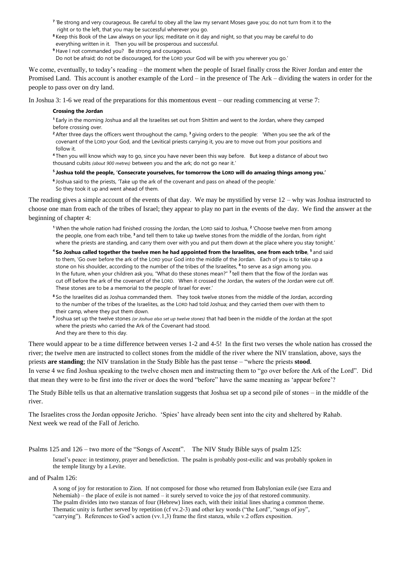- **7** 'Be strong and very courageous. Be careful to obey all the law my servant Moses gave you; do not turn from it to the right or to the left, that you may be successful wherever you go.
- **<sup>8</sup>** Keep this Book of the Law always on your lips; meditate on it day and night, so that you may be careful to do everything written in it. Then you will be prosperous and successful.
- **<sup>9</sup>** Have I not commanded you? Be strong and courageous.

Do not be afraid; do not be discouraged, for the LORD your God will be with you wherever you go.'

We come, eventually, to today's reading – the moment when the people of Israel finally cross the River Jordan and enter the Promised Land. This account is another example of the Lord – in the presence of The Ark – dividing the waters in order for the people to pass over on dry land.

In Joshua 3: 1-6 we read of the preparations for this momentous event – our reading commencing at verse 7:

#### **Crossing the Jordan**

**<sup>1</sup>** Early in the morning Joshua and all the Israelites set out from Shittim and went to the Jordan, where they camped before crossing over.

**<sup>2</sup>** After three days the officers went throughout the camp, **<sup>3</sup>** giving orders to the people: 'When you see the ark of the covenant of the LORD your God, and the Levitical priests carrying it, you are to move out from your positions and follow it.

**<sup>4</sup>** Then you will know which way to go, since you have never been this way before. But keep a distance of about two thousand cubits *(about 900 metres)* between you and the ark; do not go near it.'

#### **5 Joshua told the people, 'Consecrate yourselves, for tomorrow the LORD will do amazing things among you.'**

**6** Joshua said to the priests, 'Take up the ark of the covenant and pass on ahead of the people.' So they took it up and went ahead of them.

The reading gives a simple account of the events of that day. We may be mystified by verse  $12 - why$  was Joshua instructed to choose one man from each of the tribes of Israel; they appear to play no part in the events of the day. We find the answer at the beginning of chapter 4:

- **<sup>1</sup>** When the whole nation had finished crossing the Jordan, the LORD said to Joshua, **<sup>2</sup>** 'Choose twelve men from among the people, one from each tribe, **<sup>3</sup>** and tell them to take up twelve stones from the middle of the Jordan, from right where the priests are standing, and carry them over with you and put them down at the place where you stay tonight.'
- <sup>4</sup> So Joshua called together the twelve men he had appointed from the Israelites, one from each tribe, <sup>5</sup> and said to them, 'Go over before the ark of the LORD your God into the middle of the Jordan. Each of you is to take up a stone on his shoulder, according to the number of the tribes of the Israelites, **<sup>6</sup>** to serve as a sign among you. In the future, when your children ask you, "What do these stones mean?" <sup>7</sup> tell them that the flow of the Jordan was cut off before the ark of the covenant of the LORD. When it crossed the Jordan, the waters of the Jordan were cut off. These stones are to be a memorial to the people of Israel for ever.'
- **<sup>8</sup>** So the Israelites did as Joshua commanded them. They took twelve stones from the middle of the Jordan, according to the number of the tribes of the Israelites, as the LORD had told Joshua; and they carried them over with them to their camp, where they put them down.
- **9** Joshua set up the twelve stones *(or Joshua also set up twelve stones)* that had been in the middle of the Jordan at the spot where the priests who carried the Ark of the Covenant had stood. And they are there to this day.

There would appear to be a time difference between verses 1-2 and 4-5! In the first two verses the whole nation has crossed the river; the twelve men are instructed to collect stones from the middle of the river where the NIV translation, above, says the priests **are standing**; the NIV translation in the Study Bible has the past tense – "where the priests **stood**.

In verse 4 we find Joshua speaking to the twelve chosen men and instructing them to "go over before the Ark of the Lord". Did that mean they were to be first into the river or does the word "before" have the same meaning as 'appear before'?

The Study Bible tells us that an alternative translation suggests that Joshua set up a second pile of stones – in the middle of the river.

The Israelites cross the Jordan opposite Jericho. 'Spies' have already been sent into the city and sheltered by Rahab. Next week we read of the Fall of Jericho.

Psalms 125 and 126 – two more of the "Songs of Ascent". The NIV Study Bible says of psalm 125:

Israel's peace: in testimony, prayer and benediction. The psalm is probably post-exilic and was probably spoken in the temple liturgy by a Levite.

#### and of Psalm 126:

A song of joy for restoration to Zion. If not composed for those who returned from Babylonian exile (see Ezra and Nehemiah) – the place of exile is not named – it surely served to voice the joy of that restored community. The psalm divides into two stanzas of four (Hebrew) lines each, with their initial lines sharing a common theme. Thematic unity is further served by repetition (cf vv.2-3) and other key words ("the Lord", "songs of joy", "carrying"). References to God's action (vv.1,3) frame the first stanza, while v.2 offers exposition.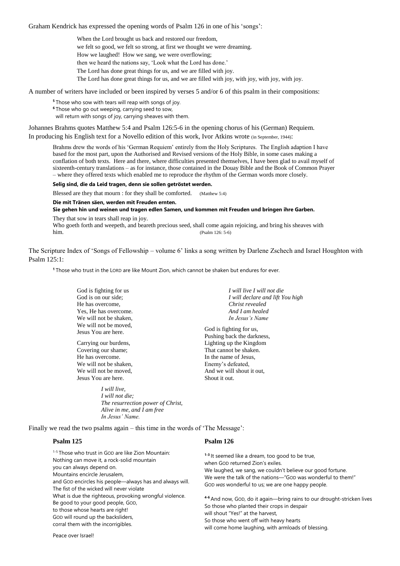Graham Kendrick has expressed the opening words of Psalm 126 in one of his 'songs':

When the Lord brought us back and restored our freedom,

we felt so good, we felt so strong, at first we thought we were dreaming.

How we laughed! How we sang, we were overflowing;

then we heard the nations say, 'Look what the Lord has done.'

The Lord has done great things for us, and we are filled with joy.

The Lord has done great things for us, and we are filled with joy, with joy, with joy, with joy.

A number of writers have included or been inspired by verses 5 and/or 6 of this psalm in their compositions:

**<sup>5</sup>** Those who sow with tears will reap with songs of joy.

**<sup>6</sup>** Those who go out weeping, carrying seed to sow,

will return with songs of joy, carrying sheaves with them.

Johannes Brahms quotes Matthew 5:4 and Psalm 126:5-6 in the opening chorus of his (German) Requiem.

In producing his English text for a Novello edition of this work, Ivor Atkins wrote (in September, 1944):

Brahms drew the words of his 'German Requiem' entirely from the Holy Scriptures. The English adaption I have based for the most part, upon the Authorised and Revised versions of the Holy Bible, in some cases making a conflation of both texts. Here and there, where difficulties presented themselves, I have been glad to avail myself of sixteenth-century translations – as for instance, those contained in the Douay Bible and the Book of Common Prayer – where they offered texts which enabled me to reproduce the rhythm of the German words more closely.

#### **Selig sind, die da Leid tragen, denn sie sollen getröstet werden.**

Blessed are they that mourn : for they shall be comforted. (Matthew 5:4)

## **Die mit Tränen säen, werden mit Freuden ernten.**

**Sie gehen hin und weinen und tragen edlen Samen, und kommen mit Freuden und bringen ihre Garben.** They that sow in tears shall reap in joy.

Who goeth forth and weepeth, and beareth precious seed, shall come again rejoicing, and bring his sheaves with him. (Psalm 126: 5-6)

The Scripture Index of 'Songs of Fellowship – volume 6' links a song written by Darlene Zschech and Israel Houghton with Psalm 125:1:

**<sup>1</sup>** Those who trust in the LORD are like Mount Zion, which cannot be shaken but endures for ever.

God is fighting for us God is on our side; He has overcome, Yes, He has overcome. We will not be shaken, We will not be moved, Jesus You are here.

Carrying our burdens, Covering our shame; He has overcome. We will not be shaken, We will not be moved, Jesus You are here.

> *I will live, I will not die; The resurrection power of Christ, Alive in me, and I am free In Jesus' Name.*

*I will live I will not die I will declare and lift You high Christ revealed And I am healed In Jesus's Name*

God is fighting for us, Pushing back the darkness, Lighting up the Kingdom That cannot be shaken. In the name of Jesus, Enemy's defeated, And we will shout it out, Shout it out.

Finally we read the two psalms again – this time in the words of 'The Message':

## **Psalm 125**

#### **Psalm 126**

| <sup>1-5</sup> Those who trust in GOD are like Zion Mountain:<br>Nothing can move it, a rock-solid mountain<br>you can always depend on.<br>Mountains encircle Jerusalem,<br>and GOD encircles his people—always has and always will.<br>The fist of the wicked will never violate<br>What is due the righteous, provoking wrongful violence.<br>Be good to your good people, GOD,<br>to those whose hearts are right!<br>GOD will round up the backsliders,<br>corral them with the incorrigibles. | <sup>1-3</sup> It seemed like a dream, too good to be true,<br>when GOD returned Zion's exiles.<br>We laughed, we sang, we couldn't believe our good fortune.<br>We were the talk of the nations—"GOD was wonderful to them!"<br>GOD was wonderful to us; we are one happy people.<br>4-6 And now, GOD, do it again--bring rains to our drought-stricken lives<br>So those who planted their crops in despair<br>will shout "Yes!" at the harvest,<br>So those who went off with heavy hearts |
|-----------------------------------------------------------------------------------------------------------------------------------------------------------------------------------------------------------------------------------------------------------------------------------------------------------------------------------------------------------------------------------------------------------------------------------------------------------------------------------------------------|-----------------------------------------------------------------------------------------------------------------------------------------------------------------------------------------------------------------------------------------------------------------------------------------------------------------------------------------------------------------------------------------------------------------------------------------------------------------------------------------------|
|                                                                                                                                                                                                                                                                                                                                                                                                                                                                                                     | will come home laughing, with armloads of blessing.                                                                                                                                                                                                                                                                                                                                                                                                                                           |

Peace over Israel!